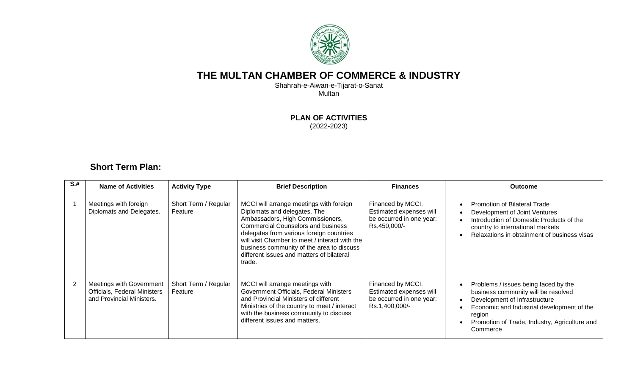

## **THE MULTAN CHAMBER OF COMMERCE & INDUSTRY**

Shahrah-e-Aiwan-e-Tijarat-o-Sanat Multan

**PLAN OF ACTIVITIES**

(2022-2023)

## **Short Term Plan:**

| $S+$ | <b>Name of Activities</b>                                                                           | <b>Activity Type</b>            | <b>Brief Description</b>                                                                                                                                                                                                                                                                                                                                   | <b>Finances</b>                                                                            | <b>Outcome</b>                                                                                                                                                                                                                    |
|------|-----------------------------------------------------------------------------------------------------|---------------------------------|------------------------------------------------------------------------------------------------------------------------------------------------------------------------------------------------------------------------------------------------------------------------------------------------------------------------------------------------------------|--------------------------------------------------------------------------------------------|-----------------------------------------------------------------------------------------------------------------------------------------------------------------------------------------------------------------------------------|
|      | Meetings with foreign<br>Diplomats and Delegates.                                                   | Short Term / Regular<br>Feature | MCCI will arrange meetings with foreign<br>Diplomats and delegates. The<br>Ambassadors, High Commissioners,<br><b>Commercial Counselors and business</b><br>delegates from various foreign countries<br>will visit Chamber to meet / interact with the<br>business community of the area to discuss<br>different issues and matters of bilateral<br>trade. | Financed by MCCI.<br>Estimated expenses will<br>be occurred in one year:<br>Rs.450,000/-   | Promotion of Bilateral Trade<br>Development of Joint Ventures<br>Introduction of Domestic Products of the<br>country to international markets<br>Relaxations in obtainment of business visas                                      |
|      | <b>Meetings with Government</b><br><b>Officials, Federal Ministers</b><br>and Provincial Ministers. | Short Term / Regular<br>Feature | MCCI will arrange meetings with<br>Government Officials, Federal Ministers<br>and Provincial Ministers of different<br>Ministries of the country to meet / interact<br>with the business community to discuss<br>different issues and matters.                                                                                                             | Financed by MCCI.<br>Estimated expenses will<br>be occurred in one year:<br>Rs.1,400,000/- | Problems / issues being faced by the<br>business community will be resolved<br>Development of Infrastructure<br>Economic and Industrial development of the<br>region<br>Promotion of Trade, Industry, Agriculture and<br>Commerce |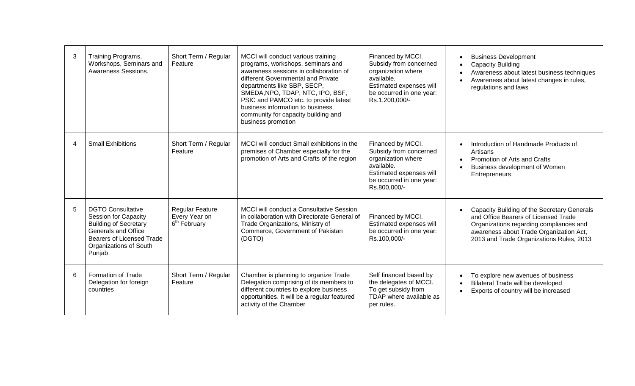| 3 | Training Programs,<br>Workshops, Seminars and<br>Awareness Sessions.                                                                                                                   | Short Term / Regular<br>Feature                                     | MCCI will conduct various training<br>programs, workshops, seminars and<br>awareness sessions in collaboration of<br>different Governmental and Private<br>departments like SBP, SECP,<br>SMEDA, NPO, TDAP, NTC, IPO, BSF,<br>PSIC and PAMCO etc. to provide latest<br>business information to business<br>community for capacity building and<br>business promotion | Financed by MCCI.<br>Subsidy from concerned<br>organization where<br>available.<br>Estimated expenses will<br>be occurred in one year:<br>Rs.1,200,000/- | <b>Business Development</b><br><b>Capacity Building</b><br>Awareness about latest business techniques<br>Awareness about latest changes in rules,<br>regulations and laws                                             |
|---|----------------------------------------------------------------------------------------------------------------------------------------------------------------------------------------|---------------------------------------------------------------------|----------------------------------------------------------------------------------------------------------------------------------------------------------------------------------------------------------------------------------------------------------------------------------------------------------------------------------------------------------------------|----------------------------------------------------------------------------------------------------------------------------------------------------------|-----------------------------------------------------------------------------------------------------------------------------------------------------------------------------------------------------------------------|
| 4 | <b>Small Exhibitions</b>                                                                                                                                                               | Short Term / Regular<br>Feature                                     | MCCI will conduct Small exhibitions in the<br>premises of Chamber especially for the<br>promotion of Arts and Crafts of the region                                                                                                                                                                                                                                   | Financed by MCCI.<br>Subsidy from concerned<br>organization where<br>available.<br>Estimated expenses will<br>be occurred in one year:<br>Rs.800,000/-   | Introduction of Handmade Products of<br>Artisans<br><b>Promotion of Arts and Crafts</b><br>Business development of Women<br>Entrepreneurs                                                                             |
| 5 | <b>DGTO Consultative</b><br><b>Session for Capacity</b><br><b>Building of Secretary</b><br>Generals and Office<br><b>Bearers of Licensed Trade</b><br>Organizations of South<br>Punjab | <b>Regular Feature</b><br>Every Year on<br>6 <sup>th</sup> February | <b>MCCI will conduct a Consultative Session</b><br>in collaboration with Directorate General of<br>Trade Organizations, Ministry of<br>Commerce, Government of Pakistan<br>(DGTO)                                                                                                                                                                                    | Financed by MCCI.<br>Estimated expenses will<br>be occurred in one year:<br>Rs.100,000/-                                                                 | Capacity Building of the Secretary Generals<br>and Office Bearers of Licensed Trade<br>Organizations regarding compliances and<br>awareness about Trade Organization Act,<br>2013 and Trade Organizations Rules, 2013 |
| 6 | <b>Formation of Trade</b><br>Delegation for foreign<br>countries                                                                                                                       | Short Term / Regular<br>Feature                                     | Chamber is planning to organize Trade<br>Delegation comprising of its members to<br>different countries to explore business<br>opportunities. It will be a regular featured<br>activity of the Chamber                                                                                                                                                               | Self financed based by<br>the delegates of MCCI.<br>To get subsidy from<br>TDAP where available as<br>per rules.                                         | To explore new avenues of business<br>Bilateral Trade will be developed<br>Exports of country will be increased                                                                                                       |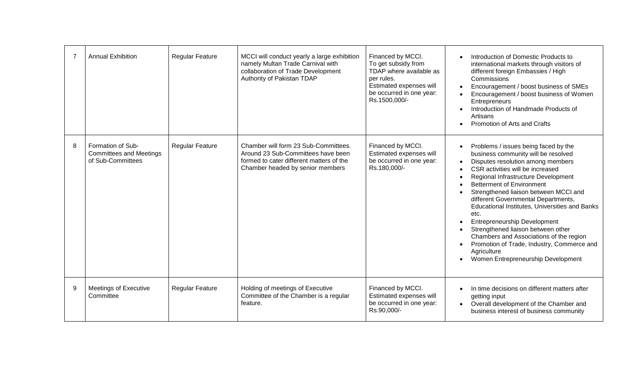|   | <b>Annual Exhibition</b>                                                 | <b>Regular Feature</b> | MCCI will conduct yearly a large exhibition<br>namely Multan Trade Carnival with<br>collaboration of Trade Development<br>Authority of Pakistan TDAP       | Financed by MCCI.<br>To get subsidy from<br>TDAP where available as<br>per rules.<br>Estimated expenses will<br>be occurred in one year:<br>Rs.1500,000/- | Introduction of Domestic Products to<br>international markets through visitors of<br>different foreign Embassies / High<br>Commissions<br>Encouragement / boost business of SMEs<br>Encouragement / boost business of Women<br>Entrepreneurs<br>Introduction of Handmade Products of<br>Artisans<br>Promotion of Arts and Crafts                                                                                                                                                                                                                                                                     |
|---|--------------------------------------------------------------------------|------------------------|------------------------------------------------------------------------------------------------------------------------------------------------------------|-----------------------------------------------------------------------------------------------------------------------------------------------------------|------------------------------------------------------------------------------------------------------------------------------------------------------------------------------------------------------------------------------------------------------------------------------------------------------------------------------------------------------------------------------------------------------------------------------------------------------------------------------------------------------------------------------------------------------------------------------------------------------|
| 8 | Formation of Sub-<br><b>Committees and Meetings</b><br>of Sub-Committees | <b>Regular Feature</b> | Chamber will form 23 Sub-Committees.<br>Around 23 Sub-Committees have been<br>formed to cater different matters of the<br>Chamber headed by senior members | Financed by MCCI.<br>Estimated expenses will<br>be occurred in one year:<br>Rs.180,000/-                                                                  | Problems / issues being faced by the<br>business community will be resolved<br>Disputes resolution among members<br>CSR activities will be increased<br>Regional Infrastructure Development<br><b>Betterment of Environment</b><br>Strengthened liaison between MCCI and<br>different Governmental Departments,<br>Educational Institutes, Universities and Banks<br>etc.<br><b>Entrepreneurship Development</b><br>Strengthened liaison between other<br>Chambers and Associations of the region<br>Promotion of Trade, Industry, Commerce and<br>Agriculture<br>Women Entrepreneurship Development |
| 9 | <b>Meetings of Executive</b><br>Committee                                | <b>Regular Feature</b> | Holding of meetings of Executive<br>Committee of the Chamber is a regular<br>feature.                                                                      | Financed by MCCI.<br>Estimated expenses will<br>be occurred in one year:<br>Rs.90,000/-                                                                   | In time decisions on different matters after<br>getting input<br>Overall development of the Chamber and<br>$\bullet$<br>business interest of business community                                                                                                                                                                                                                                                                                                                                                                                                                                      |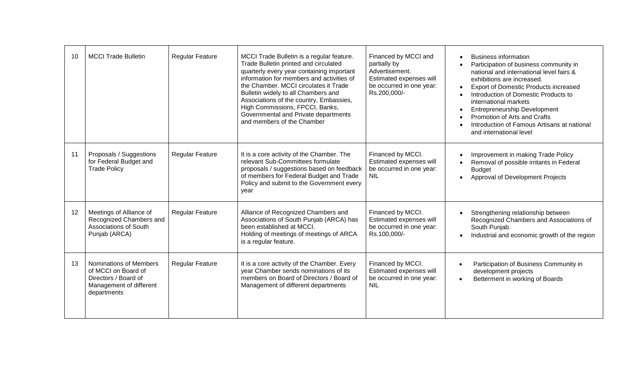| 10 | <b>MCCI Trade Bulletin</b>                                                                                             | <b>Regular Feature</b> | MCCI Trade Bulletin is a regular feature.<br>Trade Bulletin printed and circulated<br>quarterly every year containing important<br>information for members and activities of<br>the Chamber. MCCI circulates it Trade<br>Bulletin widely to all Chambers and<br>Associations of the country, Embassies,<br>High Commissions, FPCCI, Banks,<br>Governmental and Private departments<br>and members of the Chamber | Financed by MCCI and<br>partially by<br>Advertisement.<br>Estimated expenses will<br>be occurred in one year:<br>Rs.200,000/- | <b>Business information</b><br>Participation of business community in<br>national and international level fairs &<br>exhibitions are increased.<br><b>Export of Domestic Products increased</b><br>Introduction of Domestic Products to<br>international markets<br><b>Entrepreneurship Development</b><br>Promotion of Arts and Crafts<br>Introduction of Famous Artisans at national<br>and international level |
|----|------------------------------------------------------------------------------------------------------------------------|------------------------|------------------------------------------------------------------------------------------------------------------------------------------------------------------------------------------------------------------------------------------------------------------------------------------------------------------------------------------------------------------------------------------------------------------|-------------------------------------------------------------------------------------------------------------------------------|-------------------------------------------------------------------------------------------------------------------------------------------------------------------------------------------------------------------------------------------------------------------------------------------------------------------------------------------------------------------------------------------------------------------|
| 11 | Proposals / Suggestions<br>for Federal Budget and<br><b>Trade Policy</b>                                               | <b>Regular Feature</b> | It is a core activity of the Chamber. The<br>relevant Sub-Committees formulate<br>proposals / suggestions based on feedback<br>of members for Federal Budget and Trade<br>Policy and submit to the Government every<br>year                                                                                                                                                                                      | Financed by MCCI.<br>Estimated expenses will<br>be occurred in one year:<br><b>NIL</b>                                        | Improvement in making Trade Policy<br>Removal of possible irritants in Federal<br><b>Budget</b><br>Approval of Development Projects                                                                                                                                                                                                                                                                               |
| 12 | Meetings of Alliance of<br>Recognized Chambers and<br><b>Associations of South</b><br>Punjab (ARCA)                    | <b>Regular Feature</b> | Alliance of Recognized Chambers and<br>Associations of South Punjab (ARCA) has<br>been established at MCCI.<br>Holding of meetings of meetings of ARCA<br>is a regular feature.                                                                                                                                                                                                                                  | Financed by MCCI.<br>Estimated expenses will<br>be occurred in one year:<br>Rs.100,000/-                                      | Strengthening relationship between<br>Recognized Chambers and Associations of<br>South Punjab.<br>Industrial and economic growth of the region                                                                                                                                                                                                                                                                    |
| 13 | <b>Nominations of Members</b><br>of MCCI on Board of<br>Directors / Board of<br>Management of different<br>departments | <b>Regular Feature</b> | It is a core activity of the Chamber. Every<br>year Chamber sends nominations of its<br>members on Board of Directors / Board of<br>Management of different departments                                                                                                                                                                                                                                          | Financed by MCCI.<br>Estimated expenses will<br>be occurred in one year:<br><b>NIL</b>                                        | Participation of Business Community in<br>development projects<br>Betterment in working of Boards                                                                                                                                                                                                                                                                                                                 |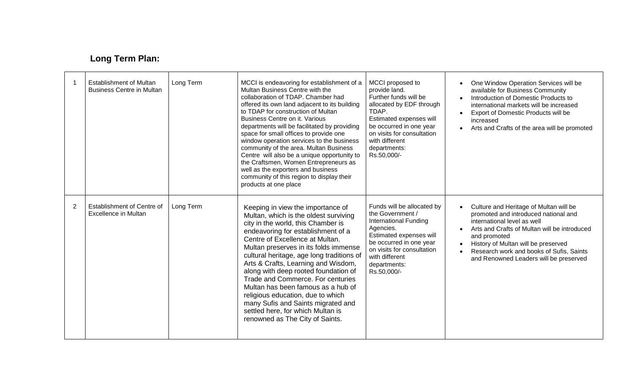## **Long Term Plan:**

|                | <b>Establishment of Multan</b><br><b>Business Centre in Multan</b> | Long Term | MCCI is endeavoring for establishment of a<br>Multan Business Centre with the<br>collaboration of TDAP. Chamber had<br>offered its own land adjacent to its building<br>to TDAP for construction of Multan<br>Business Centre on it. Various<br>departments will be facilitated by providing<br>space for small offices to provide one<br>window operation services to the business<br>community of the area. Multan Business<br>Centre will also be a unique opportunity to<br>the Craftsmen, Women Entrepreneurs as<br>well as the exporters and business<br>community of this region to display their<br>products at one place | MCCI proposed to<br>provide land.<br>Further funds will be<br>allocated by EDF through<br>TDAP.<br>Estimated expenses will<br>be occurred in one year<br>on visits for consultation<br>with different<br>departments:<br>Rs.50,000/- | One Window Operation Services will be<br>available for Business Community<br>Introduction of Domestic Products to<br>international markets will be increased<br>Export of Domestic Products will be<br>increased<br>Arts and Crafts of the area will be promoted                                           |
|----------------|--------------------------------------------------------------------|-----------|-----------------------------------------------------------------------------------------------------------------------------------------------------------------------------------------------------------------------------------------------------------------------------------------------------------------------------------------------------------------------------------------------------------------------------------------------------------------------------------------------------------------------------------------------------------------------------------------------------------------------------------|--------------------------------------------------------------------------------------------------------------------------------------------------------------------------------------------------------------------------------------|------------------------------------------------------------------------------------------------------------------------------------------------------------------------------------------------------------------------------------------------------------------------------------------------------------|
| $\overline{2}$ | Establishment of Centre of<br>Excellence in Multan                 | Long Term | Keeping in view the importance of<br>Multan, which is the oldest surviving<br>city in the world, this Chamber is<br>endeavoring for establishment of a<br>Centre of Excellence at Multan.<br>Multan preserves in its folds immense<br>cultural heritage, age long traditions of<br>Arts & Crafts, Learning and Wisdom,<br>along with deep rooted foundation of<br>Trade and Commerce. For centuries<br>Multan has been famous as a hub of<br>religious education, due to which<br>many Sufis and Saints migrated and<br>settled here, for which Multan is<br>renowned as The City of Saints.                                      | Funds will be allocated by<br>the Government /<br><b>International Funding</b><br>Agencies.<br>Estimated expenses will<br>be occurred in one year<br>on visits for consultation<br>with different<br>departments:<br>Rs.50,000/-     | Culture and Heritage of Multan will be<br>promoted and introduced national and<br>international level as well<br>Arts and Crafts of Multan will be introduced<br>and promoted<br>History of Multan will be preserved<br>Research work and books of Sufis, Saints<br>and Renowned Leaders will be preserved |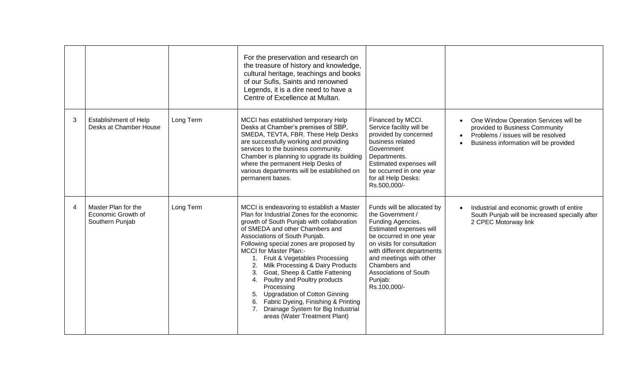|   |                                                              |           | For the preservation and research on<br>the treasure of history and knowledge,<br>cultural heritage, teachings and books<br>of our Sufis, Saints and renowned<br>Legends, it is a dire need to have a<br>Centre of Excellence at Multan.                                                                                                                                                                                                                                                                                                                                                                      |                                                                                                                                                                                                                                                                                             |                                                                                                                                                        |
|---|--------------------------------------------------------------|-----------|---------------------------------------------------------------------------------------------------------------------------------------------------------------------------------------------------------------------------------------------------------------------------------------------------------------------------------------------------------------------------------------------------------------------------------------------------------------------------------------------------------------------------------------------------------------------------------------------------------------|---------------------------------------------------------------------------------------------------------------------------------------------------------------------------------------------------------------------------------------------------------------------------------------------|--------------------------------------------------------------------------------------------------------------------------------------------------------|
| 3 | <b>Establishment of Help</b><br>Desks at Chamber House       | Long Term | MCCI has established temporary Help<br>Desks at Chamber's premises of SBP,<br>SMEDA, TEVTA, FBR. These Help Desks<br>are successfully working and providing<br>services to the business community.<br>Chamber is planning to upgrade its building<br>where the permanent Help Desks of<br>various departments will be established on<br>permanent bases.                                                                                                                                                                                                                                                      | Financed by MCCI.<br>Service facility will be<br>provided by concerned<br>business related<br>Government<br>Departments.<br>Estimated expenses will<br>be occurred in one year<br>for all Help Desks:<br>Rs.500,000/-                                                                       | One Window Operation Services will be<br>provided to Business Community<br>Problems / issues will be resolved<br>Business information will be provided |
| 4 | Master Plan for the<br>Economic Growth of<br>Southern Punjab | Long Term | MCCI is endeavoring to establish a Master<br>Plan for Industrial Zones for the economic<br>growth of South Punjab with collaboration<br>of SMEDA and other Chambers and<br>Associations of South Punjab.<br>Following special zones are proposed by<br><b>MCCI</b> for Master Plan:-<br>1. Fruit & Vegetables Processing<br>Milk Processing & Dairy Products<br>Goat, Sheep & Cattle Fattening<br>3.<br>Poultry and Poultry products<br>4.<br>Processing<br>5. Upgradation of Cotton Ginning<br>6. Fabric Dyeing, Finishing & Printing<br>Drainage System for Big Industrial<br>areas (Water Treatment Plant) | Funds will be allocated by<br>the Government /<br>Funding Agencies.<br>Estimated expenses will<br>be occurred in one year<br>on visits for consultation<br>with different departments<br>and meetings with other<br>Chambers and<br><b>Associations of South</b><br>Punjab:<br>Rs.100,000/- | Industrial and economic growth of entire<br>South Punjab will be increased specially after<br>2 CPEC Motorway link                                     |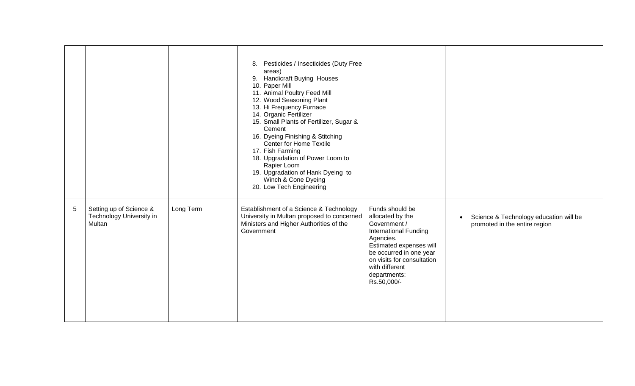|   |                                                               |           | 8. Pesticides / Insecticides (Duty Free<br>areas)<br>9. Handicraft Buying Houses<br>10. Paper Mill<br>11. Animal Poultry Feed Mill<br>12. Wood Seasoning Plant<br>13. Hi Frequency Furnace<br>14. Organic Fertilizer<br>15. Small Plants of Fertilizer, Sugar &<br>Cement<br>16. Dyeing Finishing & Stitching<br>Center for Home Textile<br>17. Fish Farming<br>18. Upgradation of Power Loom to<br>Rapier Loom<br>19. Upgradation of Hank Dyeing to<br>Winch & Cone Dyeing<br>20. Low Tech Engineering |                                                                                                                                                                                                                                       |                                                                         |
|---|---------------------------------------------------------------|-----------|---------------------------------------------------------------------------------------------------------------------------------------------------------------------------------------------------------------------------------------------------------------------------------------------------------------------------------------------------------------------------------------------------------------------------------------------------------------------------------------------------------|---------------------------------------------------------------------------------------------------------------------------------------------------------------------------------------------------------------------------------------|-------------------------------------------------------------------------|
| 5 | Setting up of Science &<br>Technology University in<br>Multan | Long Term | Establishment of a Science & Technology<br>University in Multan proposed to concerned<br>Ministers and Higher Authorities of the<br>Government                                                                                                                                                                                                                                                                                                                                                          | Funds should be<br>allocated by the<br>Government /<br><b>International Funding</b><br>Agencies.<br>Estimated expenses will<br>be occurred in one year<br>on visits for consultation<br>with different<br>departments:<br>Rs.50,000/- | Science & Technology education will be<br>promoted in the entire region |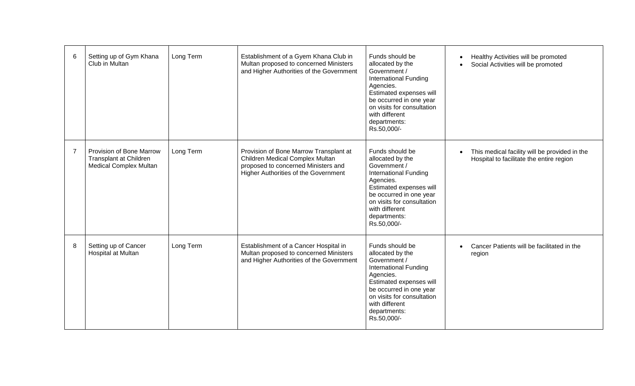| 6              | Setting up of Gym Khana<br>Club in Multan                                                  | Long Term | Establishment of a Gyem Khana Club in<br>Multan proposed to concerned Ministers<br>and Higher Authorities of the Government                              | Funds should be<br>allocated by the<br>Government /<br><b>International Funding</b><br>Agencies.<br>Estimated expenses will<br>be occurred in one year<br>on visits for consultation<br>with different<br>departments:<br>Rs.50,000/- | Healthy Activities will be promoted<br>Social Activities will be promoted                 |
|----------------|--------------------------------------------------------------------------------------------|-----------|----------------------------------------------------------------------------------------------------------------------------------------------------------|---------------------------------------------------------------------------------------------------------------------------------------------------------------------------------------------------------------------------------------|-------------------------------------------------------------------------------------------|
| $\overline{7}$ | Provision of Bone Marrow<br><b>Transplant at Children</b><br><b>Medical Complex Multan</b> | Long Term | Provision of Bone Marrow Transplant at<br>Children Medical Complex Multan<br>proposed to concerned Ministers and<br>Higher Authorities of the Government | Funds should be<br>allocated by the<br>Government /<br><b>International Funding</b><br>Agencies.<br>Estimated expenses will<br>be occurred in one year<br>on visits for consultation<br>with different<br>departments:<br>Rs.50,000/- | This medical facility will be provided in the<br>Hospital to facilitate the entire region |
| 8              | Setting up of Cancer<br>Hospital at Multan                                                 | Long Term | Establishment of a Cancer Hospital in<br>Multan proposed to concerned Ministers<br>and Higher Authorities of the Government                              | Funds should be<br>allocated by the<br>Government /<br><b>International Funding</b><br>Agencies.<br>Estimated expenses will<br>be occurred in one year<br>on visits for consultation<br>with different<br>departments:<br>Rs.50,000/- | Cancer Patients will be facilitated in the<br>region                                      |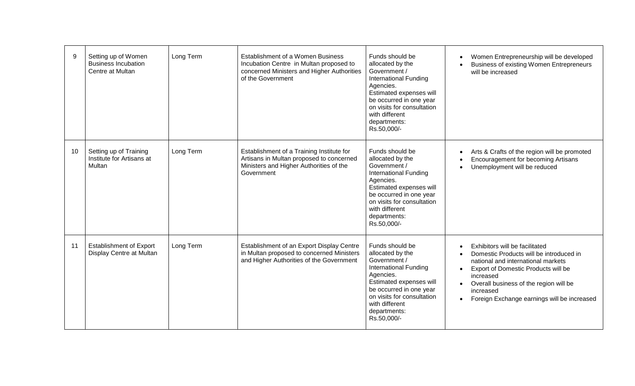| 9  | Setting up of Women<br><b>Business Incubation</b><br>Centre at Multan | Long Term | Establishment of a Women Business<br>Incubation Centre in Multan proposed to<br>concerned Ministers and Higher Authorities<br>of the Government | Funds should be<br>allocated by the<br>Government /<br><b>International Funding</b><br>Agencies.<br>Estimated expenses will<br>be occurred in one year<br>on visits for consultation<br>with different<br>departments:<br>Rs.50,000/- | Women Entrepreneurship will be developed<br><b>Business of existing Women Entrepreneurs</b><br>will be increased                                                                                                                                                                       |
|----|-----------------------------------------------------------------------|-----------|-------------------------------------------------------------------------------------------------------------------------------------------------|---------------------------------------------------------------------------------------------------------------------------------------------------------------------------------------------------------------------------------------|----------------------------------------------------------------------------------------------------------------------------------------------------------------------------------------------------------------------------------------------------------------------------------------|
| 10 | Setting up of Training<br>Institute for Artisans at<br>Multan         | Long Term | Establishment of a Training Institute for<br>Artisans in Multan proposed to concerned<br>Ministers and Higher Authorities of the<br>Government  | Funds should be<br>allocated by the<br>Government /<br><b>International Funding</b><br>Agencies.<br>Estimated expenses will<br>be occurred in one year<br>on visits for consultation<br>with different<br>departments:<br>Rs.50,000/- | Arts & Crafts of the region will be promoted<br>Encouragement for becoming Artisans<br>Unemployment will be reduced                                                                                                                                                                    |
| 11 | <b>Establishment of Export</b><br>Display Centre at Multan            | Long Term | Establishment of an Export Display Centre<br>in Multan proposed to concerned Ministers<br>and Higher Authorities of the Government              | Funds should be<br>allocated by the<br>Government /<br><b>International Funding</b><br>Agencies.<br>Estimated expenses will<br>be occurred in one year<br>on visits for consultation<br>with different<br>departments:<br>Rs.50,000/- | Exhibitors will be facilitated<br>Domestic Products will be introduced in<br>national and international markets<br>Export of Domestic Products will be<br>$\bullet$<br>increased<br>Overall business of the region will be<br>increased<br>Foreign Exchange earnings will be increased |